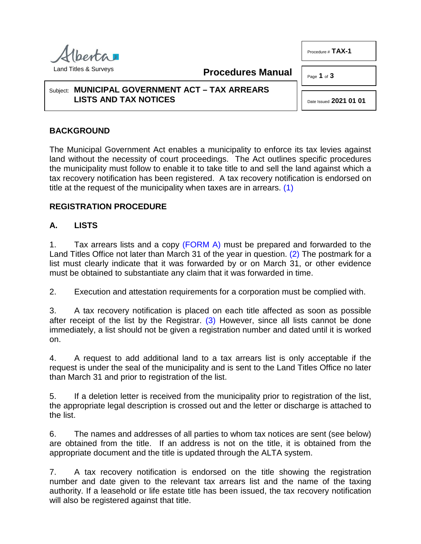

**Procedures Manual**

Page **1** of **3**

Procedure # **TAX-1**

#### Subject: **MUNICIPAL GOVERNMENT ACT – TAX ARREARS LISTS AND TAX NOTICES**

<span id="page-0-1"></span><span id="page-0-0"></span>Date Issued **2021 01 01**

# **BACKGROUND**

The Municipal Government Act enables a municipality to enforce its tax levies against land without the necessity of court proceedings. The Act outlines specific procedures the municipality must follow to enable it to take title to and sell the land against which a tax recovery notification has been registered. A tax recovery notification is endorsed on title at the request of the municipality when taxes are in arrears. [\(1\)](#page-2-0)

## **REGISTRATION PROCEDURE**

## **A. LISTS**

1. Tax arrears lists and a copy [\(FORM A\)](http://www.servicealberta.ca/pdf/ltmanual/TAX-1-FORMA.PDF) must be prepared and forwarded to the Land Titles Office not later than March 31 of the year in question. [\(2\)](#page-2-1) The postmark for a list must clearly indicate that it was forwarded by or on March 31, or other evidence must be obtained to substantiate any claim that it was forwarded in time.

2. Execution and attestation requirements for a corporation must be complied with.

<span id="page-0-2"></span>3. A tax recovery notification is placed on each title affected as soon as possible after receipt of the list by the Registrar.  $(3)$  However, since all lists cannot be done immediately, a list should not be given a registration number and dated until it is worked on.

4. A request to add additional land to a tax arrears list is only acceptable if the request is under the seal of the municipality and is sent to the Land Titles Office no later than March 31 and prior to registration of the list.

5. If a deletion letter is received from the municipality prior to registration of the list, the appropriate legal description is crossed out and the letter or discharge is attached to the list.

6. The names and addresses of all parties to whom tax notices are sent (see below) are obtained from the title. If an address is not on the title, it is obtained from the appropriate document and the title is updated through the ALTA system.

7. A tax recovery notification is endorsed on the title showing the registration number and date given to the relevant tax arrears list and the name of the taxing authority. If a leasehold or life estate title has been issued, the tax recovery notification will also be registered against that title.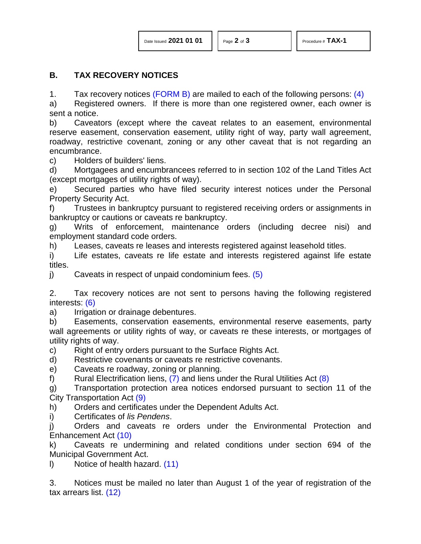#### **B. TAX RECOVERY NOTICES**

<span id="page-1-0"></span>1. Tax recovery notices [\(FORM B\)](http://www.servicealberta.ca/pdf/ltmanual/TAX-1-FORMB.PDF) are mailed to each of the following persons:  $(4)$ 

a) Registered owners. If there is more than one registered owner, each owner is sent a notice.

b) Caveators (except where the caveat relates to an easement, environmental reserve easement, conservation easement, utility right of way, party wall agreement, roadway, restrictive covenant, zoning or any other caveat that is not regarding an encumbrance.

c) Holders of builders' liens.

d) Mortgagees and encumbrancees referred to in section 102 of the Land Titles Act (except mortgages of utility rights of way).

e) Secured parties who have filed security interest notices under the Personal Property Security Act.

f) Trustees in bankruptcy pursuant to registered receiving orders or assignments in bankruptcy or cautions or caveats re bankruptcy.

g) Writs of enforcement, maintenance orders (including decree nisi) and employment standard code orders.

h) Leases, caveats re leases and interests registered against leasehold titles.

i) Life estates, caveats re life estate and interests registered against life estate titles.

<span id="page-1-1"></span>j) Caveats in respect of unpaid condominium fees.  $(5)$ 

<span id="page-1-2"></span>2. Tax recovery notices are not sent to persons having the following registered interests: [\(6\)](#page-2-5)

a) Irrigation or drainage debentures.

b) Easements, conservation easements, environmental reserve easements, party wall agreements or utility rights of way, or caveats re these interests, or mortgages of utility rights of way.

c) Right of entry orders pursuant to the Surface Rights Act.

d) Restrictive covenants or caveats re restrictive covenants.

e) Caveats re roadway, zoning or planning.

<span id="page-1-4"></span><span id="page-1-3"></span>f) Rural Electrification liens,  $(7)$  and liens under the Rural Utilities Act  $(8)$ 

<span id="page-1-5"></span>g) Transportation protection area notices endorsed pursuant to section 11 of the City Transportation Act [\(9\)](#page-2-8)

h) Orders and certificates under the Dependent Adults Act.

i) Certificates of *lis Pendens*.

<span id="page-1-6"></span>j) Orders and caveats re orders under the Environmental Protection and Enhancement Act [\(10\)](#page-2-9)

k) Caveats re undermining and related conditions under section 694 of the Municipal Government Act.

<span id="page-1-7"></span>l) Notice of health hazard. [\(11\)](#page-2-10)

<span id="page-1-8"></span>3. Notices must be mailed no later than August 1 of the year of registration of the tax arrears list. [\(12\)](#page-2-11)